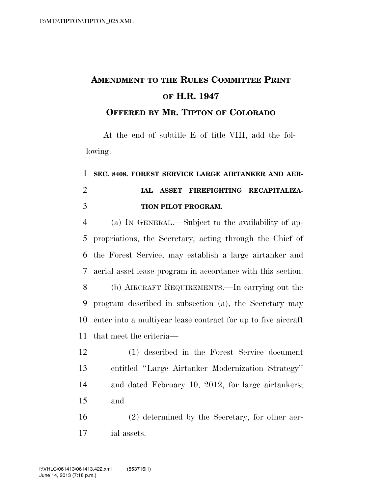## **AMENDMENT TO THE RULES COMMITTEE PRINT OF H.R. 1947**

**OFFERED BY MR. TIPTON OF COLORADO**

At the end of subtitle E of title VIII, add the following:

## **SEC. 8408. FOREST SERVICE LARGE AIRTANKER AND AER- IAL ASSET FIREFIGHTING RECAPITALIZA-TION PILOT PROGRAM.**

 (a) IN GENERAL.—Subject to the availability of ap- propriations, the Secretary, acting through the Chief of the Forest Service, may establish a large airtanker and aerial asset lease program in accordance with this section.

 (b) AIRCRAFT REQUIREMENTS.—In carrying out the program described in subsection (a), the Secretary may enter into a multiyear lease contract for up to five aircraft that meet the criteria—

 (1) described in the Forest Service document entitled ''Large Airtanker Modernization Strategy'' and dated February 10, 2012, for large airtankers; and

 (2) determined by the Secretary, for other aer-ial assets.